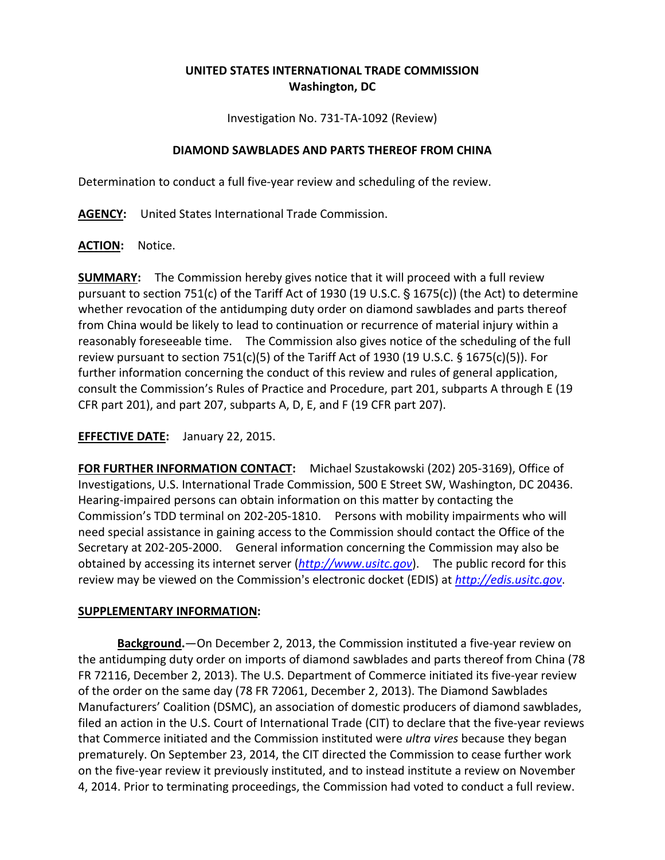## **UNITED STATES INTERNATIONAL TRADE COMMISSION Washington, DC**

Investigation No. 731-TA-1092 (Review)

## **DIAMOND SAWBLADES AND PARTS THEREOF FROM CHINA**

Determination to conduct a full five-year review and scheduling of the review.

**AGENCY:** United States International Trade Commission.

**ACTION:** Notice.

**SUMMARY:** The Commission hereby gives notice that it will proceed with a full review pursuant to section 751(c) of the Tariff Act of 1930 (19 U.S.C.  $\S$  1675(c)) (the Act) to determine whether revocation of the antidumping duty order on diamond sawblades and parts thereof from China would be likely to lead to continuation or recurrence of material injury within a reasonably foreseeable time. The Commission also gives notice of the scheduling of the full review pursuant to section 751(c)(5) of the Tariff Act of 1930 (19 U.S.C.  $\S$  1675(c)(5)). For further information concerning the conduct of this review and rules of general application, consult the Commission's Rules of Practice and Procedure, part 201, subparts A through E (19 CFR part 201), and part 207, subparts A, D, E, and F (19 CFR part 207).

## **EFFECTIVE DATE:** January 22, 2015.

**FOR FURTHER INFORMATION CONTACT:** Michael Szustakowski (202) 205-3169), Office of Investigations, U.S. International Trade Commission, 500 E Street SW, Washington, DC 20436. Hearing-impaired persons can obtain information on this matter by contacting the Commission's TDD terminal on 202-205-1810. Persons with mobility impairments who will need special assistance in gaining access to the Commission should contact the Office of the Secretary at 202-205-2000. General information concerning the Commission may also be obtained by accessing its internet server (*[http://www.usitc.gov](http://www.usitc.gov/)*). The public record for this review may be viewed on the Commission's electronic docket (EDIS) at *[http://edis.usitc.gov](http://edis.usitc.gov/)*.

## **SUPPLEMENTARY INFORMATION:**

**Background.**—On December 2, 2013, the Commission instituted a five-year review on the antidumping duty order on imports of diamond sawblades and parts thereof from China (78 FR 72116, December 2, 2013). The U.S. Department of Commerce initiated its five-year review of the order on the same day (78 FR 72061, December 2, 2013). The Diamond Sawblades Manufacturers' Coalition (DSMC), an association of domestic producers of diamond sawblades, filed an action in the U.S. Court of International Trade (CIT) to declare that the five-year reviews that Commerce initiated and the Commission instituted were *ultra vires* because they began prematurely. On September 23, 2014, the CIT directed the Commission to cease further work on the five-year review it previously instituted, and to instead institute a review on November 4, 2014. Prior to terminating proceedings, the Commission had voted to conduct a full review.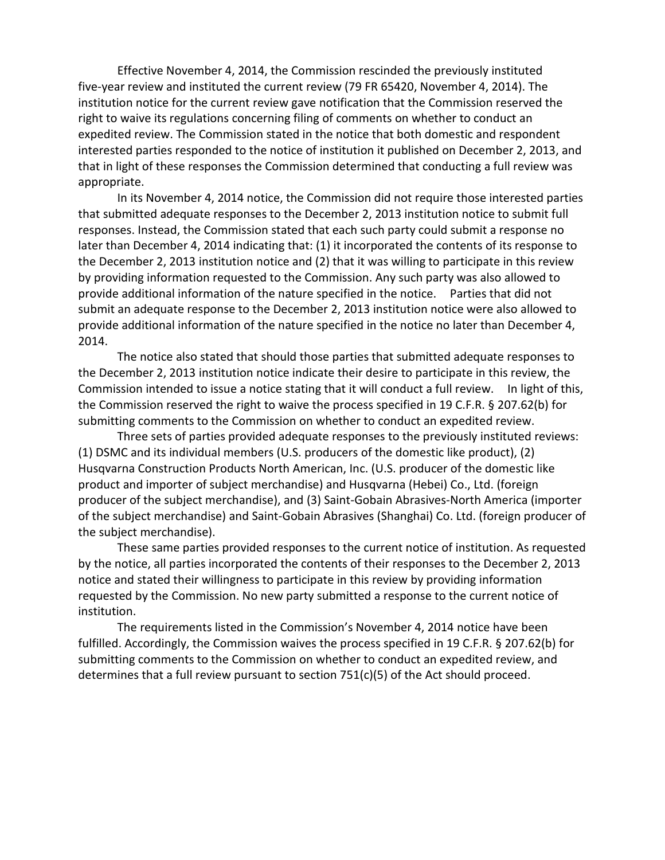Effective November 4, 2014, the Commission rescinded the previously instituted five-year review and instituted the current review (79 FR 65420, November 4, 2014). The institution notice for the current review gave notification that the Commission reserved the right to waive its regulations concerning filing of comments on whether to conduct an expedited review. The Commission stated in the notice that both domestic and respondent interested parties responded to the notice of institution it published on December 2, 2013, and that in light of these responses the Commission determined that conducting a full review was appropriate.

In its November 4, 2014 notice, the Commission did not require those interested parties that submitted adequate responses to the December 2, 2013 institution notice to submit full responses. Instead, the Commission stated that each such party could submit a response no later than December 4, 2014 indicating that: (1) it incorporated the contents of its response to the December 2, 2013 institution notice and (2) that it was willing to participate in this review by providing information requested to the Commission. Any such party was also allowed to provide additional information of the nature specified in the notice. Parties that did not submit an adequate response to the December 2, 2013 institution notice were also allowed to provide additional information of the nature specified in the notice no later than December 4, 2014.

The notice also stated that should those parties that submitted adequate responses to the December 2, 2013 institution notice indicate their desire to participate in this review, the Commission intended to issue a notice stating that it will conduct a full review. In light of this, the Commission reserved the right to waive the process specified in 19 C.F.R. § 207.62(b) for submitting comments to the Commission on whether to conduct an expedited review.

Three sets of parties provided adequate responses to the previously instituted reviews: (1) DSMC and its individual members (U.S. producers of the domestic like product), (2) Husqvarna Construction Products North American, Inc. (U.S. producer of the domestic like product and importer of subject merchandise) and Husqvarna (Hebei) Co., Ltd. (foreign producer of the subject merchandise), and (3) Saint-Gobain Abrasives-North America (importer of the subject merchandise) and Saint-Gobain Abrasives (Shanghai) Co. Ltd. (foreign producer of the subject merchandise).

These same parties provided responses to the current notice of institution. As requested by the notice, all parties incorporated the contents of their responses to the December 2, 2013 notice and stated their willingness to participate in this review by providing information requested by the Commission. No new party submitted a response to the current notice of institution.

The requirements listed in the Commission's November 4, 2014 notice have been fulfilled. Accordingly, the Commission waives the process specified in 19 C.F.R. § 207.62(b) for submitting comments to the Commission on whether to conduct an expedited review, and determines that a full review pursuant to section 751(c)(5) of the Act should proceed.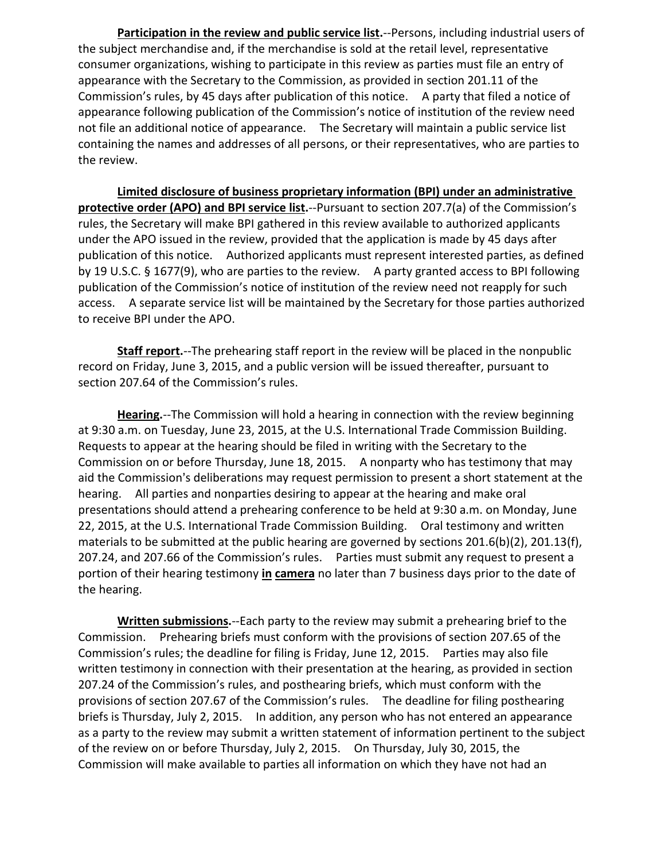**Participation in the review and public service list.**--Persons, including industrial users of the subject merchandise and, if the merchandise is sold at the retail level, representative consumer organizations, wishing to participate in this review as parties must file an entry of appearance with the Secretary to the Commission, as provided in section 201.11 of the Commission's rules, by 45 days after publication of this notice. A party that filed a notice of appearance following publication of the Commission's notice of institution of the review need not file an additional notice of appearance. The Secretary will maintain a public service list containing the names and addresses of all persons, or their representatives, who are parties to the review.

**Limited disclosure of business proprietary information (BPI) under an administrative protective order (APO) and BPI service list.**--Pursuant to section 207.7(a) of the Commission's rules, the Secretary will make BPI gathered in this review available to authorized applicants under the APO issued in the review, provided that the application is made by 45 days after publication of this notice. Authorized applicants must represent interested parties, as defined by 19 U.S.C. § 1677(9), who are parties to the review. A party granted access to BPI following publication of the Commission's notice of institution of the review need not reapply for such access. A separate service list will be maintained by the Secretary for those parties authorized to receive BPI under the APO.

**Staff report.**--The prehearing staff report in the review will be placed in the nonpublic record on Friday, June 3, 2015, and a public version will be issued thereafter, pursuant to section 207.64 of the Commission's rules.

**Hearing.**--The Commission will hold a hearing in connection with the review beginning at 9:30 a.m. on Tuesday, June 23, 2015, at the U.S. International Trade Commission Building. Requests to appear at the hearing should be filed in writing with the Secretary to the Commission on or before Thursday, June 18, 2015. A nonparty who has testimony that may aid the Commission's deliberations may request permission to present a short statement at the hearing. All parties and nonparties desiring to appear at the hearing and make oral presentations should attend a prehearing conference to be held at 9:30 a.m. on Monday, June 22, 2015, at the U.S. International Trade Commission Building. Oral testimony and written materials to be submitted at the public hearing are governed by sections 201.6(b)(2), 201.13(f), 207.24, and 207.66 of the Commission's rules. Parties must submit any request to present a portion of their hearing testimony **in camera** no later than 7 business days prior to the date of the hearing.

**Written submissions.**--Each party to the review may submit a prehearing brief to the Commission. Prehearing briefs must conform with the provisions of section 207.65 of the Commission's rules; the deadline for filing is Friday, June 12, 2015. Parties may also file written testimony in connection with their presentation at the hearing, as provided in section 207.24 of the Commission's rules, and posthearing briefs, which must conform with the provisions of section 207.67 of the Commission's rules. The deadline for filing posthearing briefs is Thursday, July 2, 2015. In addition, any person who has not entered an appearance as a party to the review may submit a written statement of information pertinent to the subject of the review on or before Thursday, July 2, 2015. On Thursday, July 30, 2015, the Commission will make available to parties all information on which they have not had an